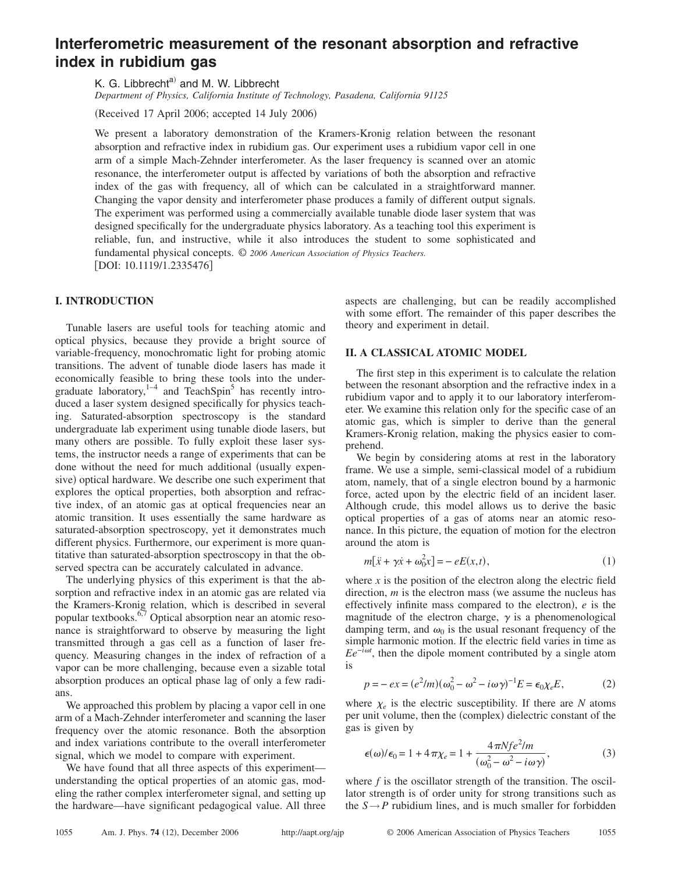# **Interferometric measurement of the resonant absorption and refractive index in rubidium gas**

K. G. Libbrecht<sup>a)</sup> and M. W. Libbrecht

*Department of Physics, California Institute of Technology, Pasadena, California 91125*

(Received 17 April 2006; accepted 14 July 2006)

We present a laboratory demonstration of the Kramers-Kronig relation between the resonant absorption and refractive index in rubidium gas. Our experiment uses a rubidium vapor cell in one arm of a simple Mach-Zehnder interferometer. As the laser frequency is scanned over an atomic resonance, the interferometer output is affected by variations of both the absorption and refractive index of the gas with frequency, all of which can be calculated in a straightforward manner. Changing the vapor density and interferometer phase produces a family of different output signals. The experiment was performed using a commercially available tunable diode laser system that was designed specifically for the undergraduate physics laboratory. As a teaching tool this experiment is reliable, fun, and instructive, while it also introduces the student to some sophisticated and fundamental physical concepts. © *2006 American Association of Physics Teachers.* [DOI: 10.1119/1.2335476]

# **I. INTRODUCTION**

Tunable lasers are useful tools for teaching atomic and optical physics, because they provide a bright source of variable-frequency, monochromatic light for probing atomic transitions. The advent of tunable diode lasers has made it economically feasible to bring these tools into the undergraduate laboratory, $1-4$  and TeachSpin<sup>5</sup> has recently introduced a laser system designed specifically for physics teaching. Saturated-absorption spectroscopy is the standard undergraduate lab experiment using tunable diode lasers, but many others are possible. To fully exploit these laser systems, the instructor needs a range of experiments that can be done without the need for much additional (usually expensive) optical hardware. We describe one such experiment that explores the optical properties, both absorption and refractive index, of an atomic gas at optical frequencies near an atomic transition. It uses essentially the same hardware as saturated-absorption spectroscopy, yet it demonstrates much different physics. Furthermore, our experiment is more quantitative than saturated-absorption spectroscopy in that the observed spectra can be accurately calculated in advance.

The underlying physics of this experiment is that the absorption and refractive index in an atomic gas are related via the Kramers-Kronig relation, which is described in several popular textbooks.<sup>6,7</sup> Optical absorption near an atomic resonance is straightforward to observe by measuring the light transmitted through a gas cell as a function of laser frequency. Measuring changes in the index of refraction of a vapor can be more challenging, because even a sizable total absorption produces an optical phase lag of only a few radians.

We approached this problem by placing a vapor cell in one arm of a Mach-Zehnder interferometer and scanning the laser frequency over the atomic resonance. Both the absorption and index variations contribute to the overall interferometer signal, which we model to compare with experiment.

We have found that all three aspects of this experiment understanding the optical properties of an atomic gas, modeling the rather complex interferometer signal, and setting up the hardware—have significant pedagogical value. All three

aspects are challenging, but can be readily accomplished with some effort. The remainder of this paper describes the theory and experiment in detail.

# **II. A CLASSICAL ATOMIC MODEL**

The first step in this experiment is to calculate the relation between the resonant absorption and the refractive index in a rubidium vapor and to apply it to our laboratory interferometer. We examine this relation only for the specific case of an atomic gas, which is simpler to derive than the general Kramers-Kronig relation, making the physics easier to comprehend.

We begin by considering atoms at rest in the laboratory frame. We use a simple, semi-classical model of a rubidium atom, namely, that of a single electron bound by a harmonic force, acted upon by the electric field of an incident laser. Although crude, this model allows us to derive the basic optical properties of a gas of atoms near an atomic resonance. In this picture, the equation of motion for the electron around the atom is

$$
m[\ddot{x} + \gamma \dot{x} + \omega_0^2 x] = -eE(x, t),
$$
 (1)

where  $x$  is the position of the electron along the electric field direction,  $m$  is the electron mass (we assume the nucleus has effectively infinite mass compared to the electron),  $e$  is the magnitude of the electron charge,  $\gamma$  is a phenomenological damping term, and  $\omega_0$  is the usual resonant frequency of the simple harmonic motion. If the electric field varies in time as  $Ee^{-i\omega t}$ , then the dipole moment contributed by a single atom is

$$
p = -ex = (e^2/m)(\omega_0^2 - \omega^2 - i\omega\gamma)^{-1}E = \epsilon_0 \chi_e E,\tag{2}
$$

where  $\chi_e$  is the electric susceptibility. If there are *N* atoms per unit volume, then the (complex) dielectric constant of the gas is given by

$$
\epsilon(\omega)/\epsilon_0 = 1 + 4\pi\chi_e = 1 + \frac{4\pi Nf e^2/m}{(\omega_0^2 - \omega^2 - i\omega\gamma)},
$$
\n(3)

where  $f$  is the oscillator strength of the transition. The oscillator strength is of order unity for strong transitions such as the  $S \rightarrow P$  rubidium lines, and is much smaller for forbidden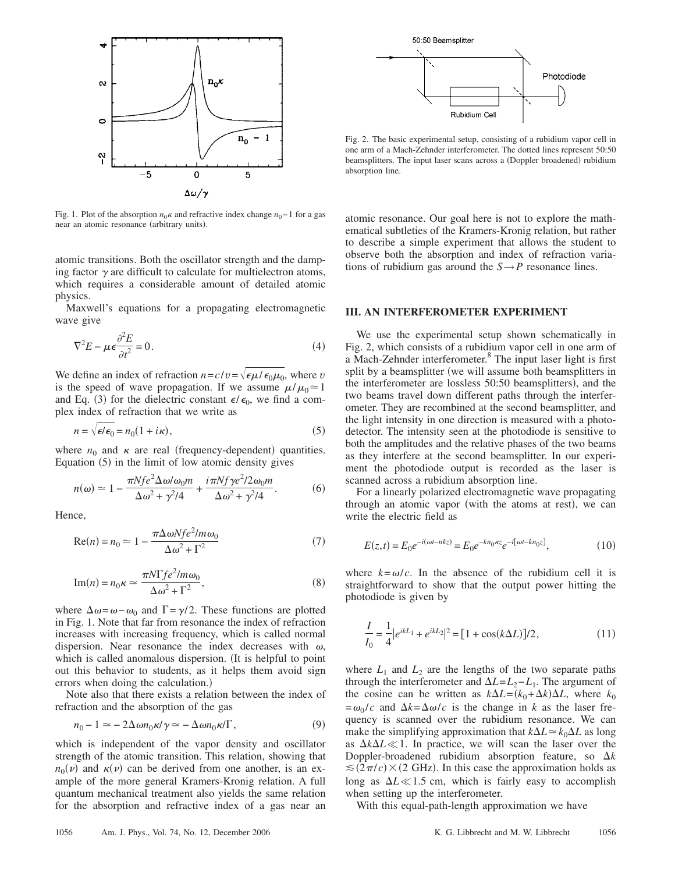

Fig. 1. Plot of the absorption  $n_0 \kappa$  and refractive index change  $n_0 - 1$  for a gas near an atomic resonance (arbitrary units).

atomic transitions. Both the oscillator strength and the damping factor  $\gamma$  are difficult to calculate for multielectron atoms, which requires a considerable amount of detailed atomic physics.

Maxwell's equations for a propagating electromagnetic wave give

$$
\nabla^2 E - \mu \epsilon \frac{\partial^2 E}{\partial t^2} = 0.
$$
 (4)

We define an index of refraction  $n = c/v = \sqrt{\epsilon \mu / \epsilon_0 \mu_0}$ , where *v* is the speed of wave propagation. If we assume  $\mu/\mu_0 \approx 1$ and Eq. (3) for the dielectric constant  $\epsilon/\epsilon_0$ , we find a complex index of refraction that we write as

$$
n = \sqrt{\epsilon/\epsilon_0} = n_0(1 + i\kappa),\tag{5}
$$

where  $n_0$  and  $\kappa$  are real (frequency-dependent) quantities. Equation (5) in the limit of low atomic density gives

$$
n(\omega) \simeq 1 - \frac{\pi N f e^2 \Delta \omega / \omega_0 m}{\Delta \omega^2 + \gamma^2 / 4} + \frac{i \pi N f \gamma e^2 / 2 \omega_0 m}{\Delta \omega^2 + \gamma^2 / 4}.
$$
 (6)

Hence,

$$
Re(n) = n_0 \simeq 1 - \frac{\pi \Delta \omega N f e^2 / m \omega_0}{\Delta \omega^2 + \Gamma^2}
$$
\n(7)

$$
\text{Im}(n) = n_0 \kappa \simeq \frac{\pi N \Gamma f e^2 / m \omega_0}{\Delta \omega^2 + \Gamma^2},\tag{8}
$$

where  $\Delta \omega = \omega - \omega_0$  and  $\Gamma = \gamma/2$ . These functions are plotted in Fig. 1. Note that far from resonance the index of refraction increases with increasing frequency, which is called normal dispersion. Near resonance the index decreases with  $\omega$ , which is called anomalous dispersion. (It is helpful to point out this behavior to students, as it helps them avoid sign errors when doing the calculation.)

Note also that there exists a relation between the index of refraction and the absorption of the gas

$$
n_0 - 1 \simeq -2\Delta \omega n_0 \kappa / \gamma \simeq -\Delta \omega n_0 \kappa / \Gamma, \qquad (9)
$$

which is independent of the vapor density and oscillator strength of the atomic transition. This relation, showing that  $n_0(\nu)$  and  $\kappa(\nu)$  can be derived from one another, is an example of the more general Kramers-Kronig relation. A full quantum mechanical treatment also yields the same relation for the absorption and refractive index of a gas near an



Fig. 2. The basic experimental setup, consisting of a rubidium vapor cell in one arm of a Mach-Zehnder interferometer. The dotted lines represent 50:50 beamsplitters. The input laser scans across a (Doppler broadened) rubidium absorption line.

atomic resonance. Our goal here is not to explore the mathematical subtleties of the Kramers-Kronig relation, but rather to describe a simple experiment that allows the student to observe both the absorption and index of refraction variations of rubidium gas around the  $S \rightarrow P$  resonance lines.

# **III. AN INTERFEROMETER EXPERIMENT**

We use the experimental setup shown schematically in Fig. 2, which consists of a rubidium vapor cell in one arm of a Mach-Zehnder interferometer.8 The input laser light is first split by a beamsplitter (we will assume both beamsplitters in the interferometer are lossless 50:50 beamsplitters), and the two beams travel down different paths through the interferometer. They are recombined at the second beamsplitter, and the light intensity in one direction is measured with a photodetector. The intensity seen at the photodiode is sensitive to both the amplitudes and the relative phases of the two beams as they interfere at the second beamsplitter. In our experiment the photodiode output is recorded as the laser is scanned across a rubidium absorption line.

For a linearly polarized electromagnetic wave propagating through an atomic vapor (with the atoms at rest), we can write the electric field as

$$
E(z,t) = E_0 e^{-i(\omega t - nkz)} = E_0 e^{-kn_0\kappa z} e^{-i[\omega t - kn_0z]},
$$
\n(10)

where  $k = \omega/c$ . In the absence of the rubidium cell it is straightforward to show that the output power hitting the photodiode is given by

$$
\frac{I}{I_0} = \frac{1}{4} |e^{ikL_1} + e^{ikL_2}|^2 = [1 + \cos(k\Delta L)]/2,
$$
\n(11)

where  $L_1$  and  $L_2$  are the lengths of the two separate paths through the interferometer and  $\Delta L = L_2 - L_1$ . The argument of the cosine can be written as  $k\Delta L = (k_0 + \Delta k)\Delta L$ , where  $k_0$  $=\omega_0/c$  and  $\Delta k = \Delta \omega/c$  is the change in *k* as the laser frequency is scanned over the rubidium resonance. We can make the simplifying approximation that  $k\Delta L \approx k_0 \Delta L$  as long as  $\Delta k \Delta L \ll 1$ . In practice, we will scan the laser over the Doppler-broadened rubidium absorption feature, so  $\Delta k$  $\leq$  (2 $\pi$ /c)  $\times$  (2 GHz). In this case the approximation holds as long as  $\Delta L \ll 1.5$  cm, which is fairly easy to accomplish when setting up the interferometer.

With this equal-path-length approximation we have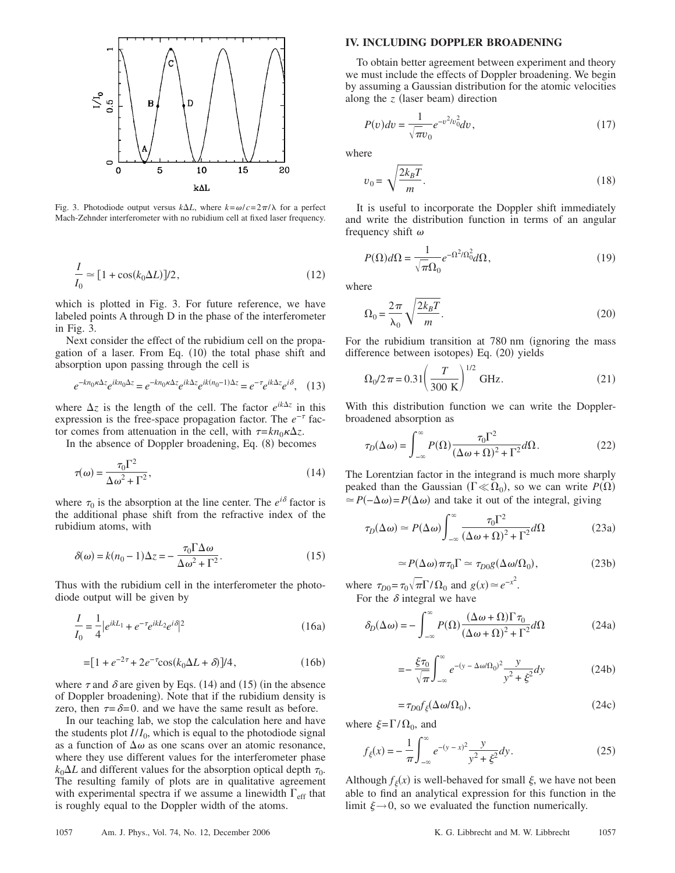

Fig. 3. Photodiode output versus  $k\Delta L$ , where  $k = \omega/c = 2\pi/\lambda$  for a perfect Mach-Zehnder interferometer with no rubidium cell at fixed laser frequency.

$$
\frac{I}{I_0} \simeq [1 + \cos(k_0 \Delta L)]/2, \qquad (12)
$$

which is plotted in Fig. 3. For future reference, we have labeled points A through D in the phase of the interferometer in Fig. 3.

Next consider the effect of the rubidium cell on the propagation of a laser. From Eq. (10) the total phase shift and absorption upon passing through the cell is

$$
e^{-kn_0\kappa\Delta z}e^{ikn_0\Delta z} = e^{-kn_0\kappa\Delta z}e^{ik\Delta z}e^{ik(n_0-1)\Delta z} = e^{-\tau}e^{ik\Delta z}e^{i\delta}, \quad (13)
$$

where  $\Delta z$  is the length of the cell. The factor  $e^{ik\Delta z}$  in this expression is the free-space propagation factor. The *e*<sup>−</sup> factor comes from attenuation in the cell, with  $\tau = k n_0 \kappa \Delta z$ .

In the absence of Doppler broadening, Eq. (8) becomes

$$
\tau(\omega) = \frac{\tau_0 \Gamma^2}{\Delta \omega^2 + \Gamma^2},\tag{14}
$$

where  $\tau_0$  is the absorption at the line center. The  $e^{i\delta}$  factor is the additional phase shift from the refractive index of the rubidium atoms, with

$$
\delta(\omega) = k(n_0 - 1)\Delta z = -\frac{\tau_0 \Gamma \Delta \omega}{\Delta \omega^2 + \Gamma^2}.
$$
\n(15)

Thus with the rubidium cell in the interferometer the photodiode output will be given by

$$
\frac{I}{I_0} = \frac{1}{4} |e^{ikL_1} + e^{-\tau} e^{ikL_2} e^{i\delta}|^2
$$
\n(16a)

$$
= [1 + e^{-2\tau} + 2e^{-\tau} \cos(k_0 \Delta L + \delta)]/4, \qquad (16b)
$$

where  $\tau$  and  $\delta$  are given by Eqs. (14) and (15) (in the absence of Doppler broadening). Note that if the rubidium density is zero, then  $\tau = \delta = 0$  and we have the same result as before.

In our teaching lab, we stop the calculation here and have the students plot  $I/I_0$ , which is equal to the photodiode signal as a function of  $\Delta \omega$  as one scans over an atomic resonance, where they use different values for the interferometer phase  $k_0\Delta L$  and different values for the absorption optical depth  $\tau_0$ . The resulting family of plots are in qualitative agreement with experimental spectra if we assume a linewidth  $\Gamma_{\text{eff}}$  that is roughly equal to the Doppler width of the atoms.

#### **IV. INCLUDING DOPPLER BROADENING**

To obtain better agreement between experiment and theory we must include the effects of Doppler broadening. We begin by assuming a Gaussian distribution for the atomic velocities along the  $z$  (laser beam) direction

$$
P(v)dv = \frac{1}{\sqrt{\pi v_0}} e^{-v^2/v_0^2} dv,
$$
\n(17)

where

$$
v_0 = \sqrt{\frac{2k_B T}{m}}.\t(18)
$$

It is useful to incorporate the Doppler shift immediately and write the distribution function in terms of an angular frequency shift  $\omega$ 

$$
P(\Omega)d\Omega = \frac{1}{\sqrt{\pi}\Omega_0}e^{-\Omega^2/\Omega_0^2}d\Omega,\tag{19}
$$

where

$$
\Omega_0 = \frac{2\pi}{\lambda_0} \sqrt{\frac{2k_B T}{m}}.
$$
\n(20)

For the rubidium transition at 780 nm (ignoring the mass difference between isotopes) Eq. (20) yields

$$
\Omega_0 / 2\pi = 0.31 \left(\frac{T}{300 \text{ K}}\right)^{1/2} \text{ GHz.}
$$
 (21)

With this distribution function we can write the Dopplerbroadened absorption as

$$
\tau_D(\Delta \omega) = \int_{-\infty}^{\infty} P(\Omega) \frac{\tau_0 \Gamma^2}{(\Delta \omega + \Omega)^2 + \Gamma^2} d\Omega.
$$
 (22)

The Lorentzian factor in the integrand is much more sharply peaked than the Gaussian ( $\Gamma \ll \Omega_0$ ), so we can write  $P(\Omega)$  $\approx P(-\Delta \omega) = P(\Delta \omega)$  and take it out of the integral, giving

$$
\tau_D(\Delta \omega) \simeq P(\Delta \omega) \int_{-\infty}^{\infty} \frac{\tau_0 \Gamma^2}{(\Delta \omega + \Omega)^2 + \Gamma^2} d\Omega \tag{23a}
$$

$$
\simeq P(\Delta\omega)\pi\tau_0\Gamma \simeq \tau_{D0}g(\Delta\omega/\Omega_0),\tag{23b}
$$

where  $\tau_{D0} = \tau_0 \sqrt{\pi} \Gamma / \Omega_0$  and  $g(x) \approx e^{-x^2}$ . For the  $\delta$  integral we have

$$
\delta_D(\Delta \omega) = -\int_{-\infty}^{\infty} P(\Omega) \frac{(\Delta \omega + \Omega) \Gamma \tau_0}{(\Delta \omega + \Omega)^2 + \Gamma^2} d\Omega \tag{24a}
$$

$$
=-\frac{\xi\tau_0}{\sqrt{\pi}}\int_{-\infty}^{\infty}e^{-(y-\Delta\omega/\Omega_0)^2}\frac{y}{y^2+\xi^2}dy\tag{24b}
$$

$$
=\tau_{D0}f_{\xi}(\Delta\omega/\Omega_0),\qquad(24c)
$$

where  $\xi = \Gamma/\Omega_0$ , and

$$
f_{\xi}(x) = -\frac{1}{\pi} \int_{-\infty}^{\infty} e^{-(y-x)^2} \frac{y}{y^2 + \xi^2} dy.
$$
 (25)

Although  $f_{\xi}(x)$  is well-behaved for small  $\xi$ , we have not been able to find an analytical expression for this function in the limit  $\xi \rightarrow 0$ , so we evaluated the function numerically.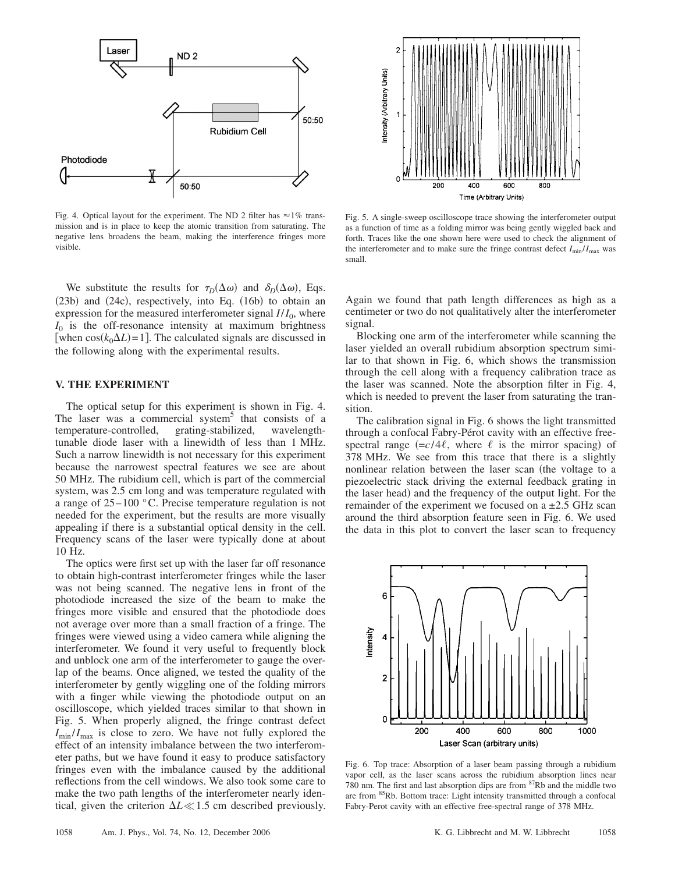

Fig. 4. Optical layout for the experiment. The ND 2 filter has  $\approx$  1% transmission and is in place to keep the atomic transition from saturating. The negative lens broadens the beam, making the interference fringes more visible.

We substitute the results for  $\tau_D(\Delta \omega)$  and  $\delta_D(\Delta \omega)$ , Eqs. (23b) and (24c), respectively, into Eq. (16b) to obtain an expression for the measured interferometer signal  $I/I_0$ , where  $I_0$  is the off-resonance intensity at maximum brightness [when  $cos(k_0\Delta L) = 1$ ]. The calculated signals are discussed in the following along with the experimental results.

## **V. THE EXPERIMENT**

The optical setup for this experiment is shown in Fig. 4. The laser was a commercial system<sup>5</sup> that consists of a temperature-controlled, grating-stabilized, wavelengthtunable diode laser with a linewidth of less than 1 MHz. Such a narrow linewidth is not necessary for this experiment because the narrowest spectral features we see are about 50 MHz. The rubidium cell, which is part of the commercial system, was 2.5 cm long and was temperature regulated with a range of 25– 100 °C. Precise temperature regulation is not needed for the experiment, but the results are more visually appealing if there is a substantial optical density in the cell. Frequency scans of the laser were typically done at about 10 Hz.

The optics were first set up with the laser far off resonance to obtain high-contrast interferometer fringes while the laser was not being scanned. The negative lens in front of the photodiode increased the size of the beam to make the fringes more visible and ensured that the photodiode does not average over more than a small fraction of a fringe. The fringes were viewed using a video camera while aligning the interferometer. We found it very useful to frequently block and unblock one arm of the interferometer to gauge the overlap of the beams. Once aligned, we tested the quality of the interferometer by gently wiggling one of the folding mirrors with a finger while viewing the photodiode output on an oscilloscope, which yielded traces similar to that shown in Fig. 5. When properly aligned, the fringe contrast defect  $I_{\text{min}}/I_{\text{max}}$  is close to zero. We have not fully explored the effect of an intensity imbalance between the two interferometer paths, but we have found it easy to produce satisfactory fringes even with the imbalance caused by the additional reflections from the cell windows. We also took some care to make the two path lengths of the interferometer nearly identical, given the criterion  $\Delta L \ll 1.5$  cm described previously.



Fig. 5. A single-sweep oscilloscope trace showing the interferometer output as a function of time as a folding mirror was being gently wiggled back and forth. Traces like the one shown here were used to check the alignment of the interferometer and to make sure the fringe contrast defect  $I_{\text{min}}/I_{\text{max}}$  was small.

Again we found that path length differences as high as a centimeter or two do not qualitatively alter the interferometer signal.

Blocking one arm of the interferometer while scanning the laser yielded an overall rubidium absorption spectrum similar to that shown in Fig. 6, which shows the transmission through the cell along with a frequency calibration trace as the laser was scanned. Note the absorption filter in Fig. 4, which is needed to prevent the laser from saturating the transition.

The calibration signal in Fig. 6 shows the light transmitted through a confocal Fabry-Pérot cavity with an effective freespectral range  $(= c/4\ell,$  where  $\ell$  is the mirror spacing) of 378 MHz. We see from this trace that there is a slightly nonlinear relation between the laser scan (the voltage to a piezoelectric stack driving the external feedback grating in the laser head) and the frequency of the output light. For the remainder of the experiment we focused on a  $\pm 2.5$  GHz scan around the third absorption feature seen in Fig. 6. We used the data in this plot to convert the laser scan to frequency



Fig. 6. Top trace: Absorption of a laser beam passing through a rubidium vapor cell, as the laser scans across the rubidium absorption lines near 780 nm. The first and last absorption dips are from  ${}^{87}Rb$  and the middle two are from 85Rb. Bottom trace: Light intensity transmitted through a confocal Fabry-Perot cavity with an effective free-spectral range of 378 MHz.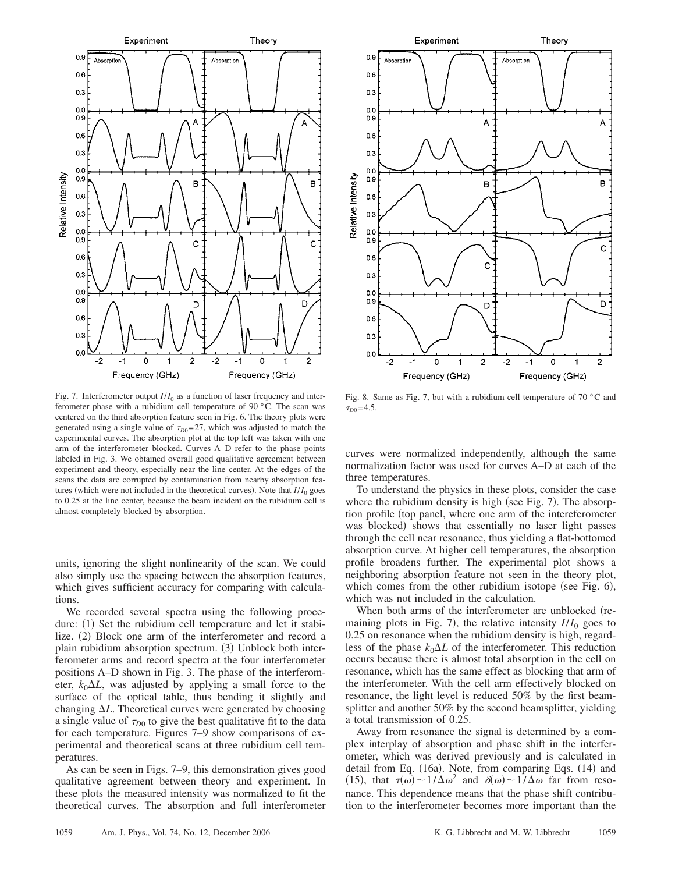



Fig. 7. Interferometer output  $I/I_0$  as a function of laser frequency and interferometer phase with a rubidium cell temperature of 90 °C. The scan was centered on the third absorption feature seen in Fig. 6. The theory plots were generated using a single value of  $\tau_{D0} = 27$ , which was adjusted to match the experimental curves. The absorption plot at the top left was taken with one arm of the interferometer blocked. Curves A–D refer to the phase points labeled in Fig. 3. We obtained overall good qualitative agreement between experiment and theory, especially near the line center. At the edges of the scans the data are corrupted by contamination from nearby absorption features (which were not included in the theoretical curves). Note that  $I/I_0$  goes to 0.25 at the line center, because the beam incident on the rubidium cell is almost completely blocked by absorption.

units, ignoring the slight nonlinearity of the scan. We could also simply use the spacing between the absorption features, which gives sufficient accuracy for comparing with calculations.

We recorded several spectra using the following procedure: (1) Set the rubidium cell temperature and let it stabilize. (2) Block one arm of the interferometer and record a plain rubidium absorption spectrum. (3) Unblock both interferometer arms and record spectra at the four interferometer positions A–D shown in Fig. 3. The phase of the interferometer,  $k_0 \Delta L$ , was adjusted by applying a small force to the surface of the optical table, thus bending it slightly and changing *L*. Theoretical curves were generated by choosing a single value of  $\tau_{D0}$  to give the best qualitative fit to the data for each temperature. Figures 7–9 show comparisons of experimental and theoretical scans at three rubidium cell temperatures.

As can be seen in Figs. 7–9, this demonstration gives good qualitative agreement between theory and experiment. In these plots the measured intensity was normalized to fit the theoretical curves. The absorption and full interferometer

Fig. 8. Same as Fig. 7, but with a rubidium cell temperature of 70 °C and  $\tau_{D0} = 4.5$ .

curves were normalized independently, although the same normalization factor was used for curves A–D at each of the three temperatures.

To understand the physics in these plots, consider the case where the rubidium density is high (see Fig. 7). The absorption profile (top panel, where one arm of the intereferometer was blocked) shows that essentially no laser light passes through the cell near resonance, thus yielding a flat-bottomed absorption curve. At higher cell temperatures, the absorption profile broadens further. The experimental plot shows a neighboring absorption feature not seen in the theory plot, which comes from the other rubidium isotope (see Fig.  $6$ ), which was not included in the calculation.

When both arms of the interferometer are unblocked (remaining plots in Fig. 7), the relative intensity  $I/I_0$  goes to 0.25 on resonance when the rubidium density is high, regardless of the phase  $k_0 \Delta L$  of the interferometer. This reduction occurs because there is almost total absorption in the cell on resonance, which has the same effect as blocking that arm of the interferometer. With the cell arm effectively blocked on resonance, the light level is reduced 50% by the first beamsplitter and another 50% by the second beamsplitter, yielding a total transmission of 0.25.

Away from resonance the signal is determined by a complex interplay of absorption and phase shift in the interferometer, which was derived previously and is calculated in detail from Eq. (16a). Note, from comparing Eqs. (14) and (15), that  $\tau(\omega) \sim 1/\Delta \omega^2$  and  $\delta(\omega) \sim 1/\Delta \omega$  far from resonance. This dependence means that the phase shift contribution to the interferometer becomes more important than the